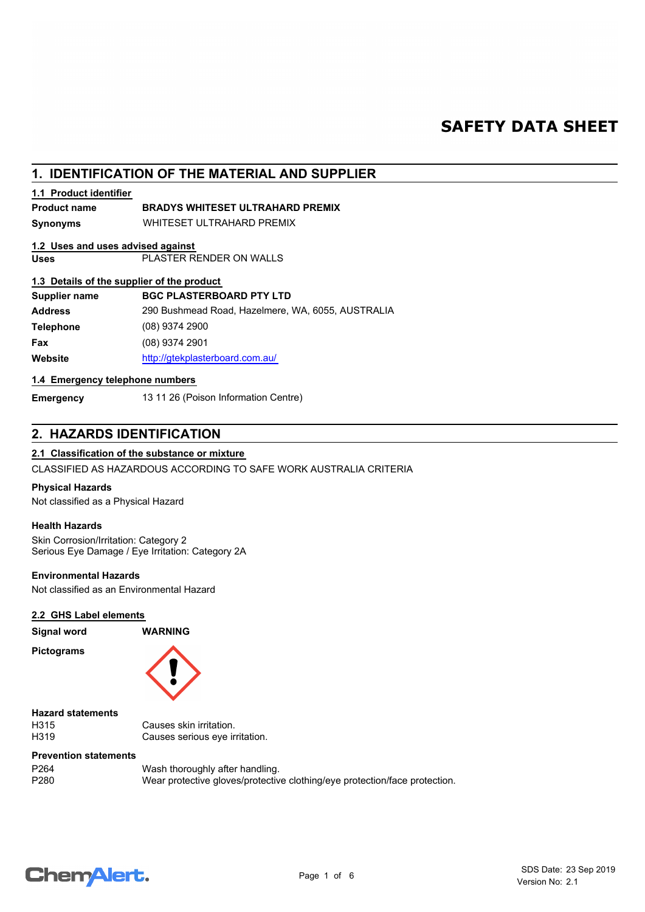# **SAFETY DATA SHEET**

# **1. IDENTIFICATION OF THE MATERIAL AND SUPPLIER**

## **1.1 Product identifier**

## **Product name BRADYS WHITESET ULTRAHARD PREMIX**

**Synonyms** WHITESET ULTRAHARD PREMIX

# **1.2 Uses and uses advised against**

**Uses** PLASTER RENDER ON WALLS

## **1.3 Details of the supplier of the product**

| Supplier name    | <b>BGC PLASTERBOARD PTY LTD</b>                   |
|------------------|---------------------------------------------------|
| <b>Address</b>   | 290 Bushmead Road, Hazelmere, WA, 6055, AUSTRALIA |
| <b>Telephone</b> | $(08)$ 9374 2900                                  |
| Fax              | $(08)$ 9374 2901                                  |
| Website          | http://gtekplasterboard.com.au/                   |
|                  |                                                   |

## **1.4 Emergency telephone numbers**

**Emergency** 13 11 26 (Poison Information Centre)

# **2. HAZARDS IDENTIFICATION**

## **2.1 Classification of the substance or mixture**

CLASSIFIED AS HAZARDOUS ACCORDING TO SAFE WORK AUSTRALIA CRITERIA

## **Physical Hazards**

Not classified as a Physical Hazard

## **Health Hazards**

Skin Corrosion/Irritation: Category 2 Serious Eye Damage / Eye Irritation: Category 2A

## **Environmental Hazards**

Not classified as an Environmental Hazard

## **2.2 GHS Label elements**

**Pictograms**



**Signal word WARNING**

**Hazard statements**

H315 Causes skin irritation.<br>
H319 Causes serious eve ir Causes serious eye irritation.

#### **Prevention statements**

P264 Wash thoroughly after handling.<br>P280 Wear protective gloves/protective Wear protective gloves/protective clothing/eye protection/face protection.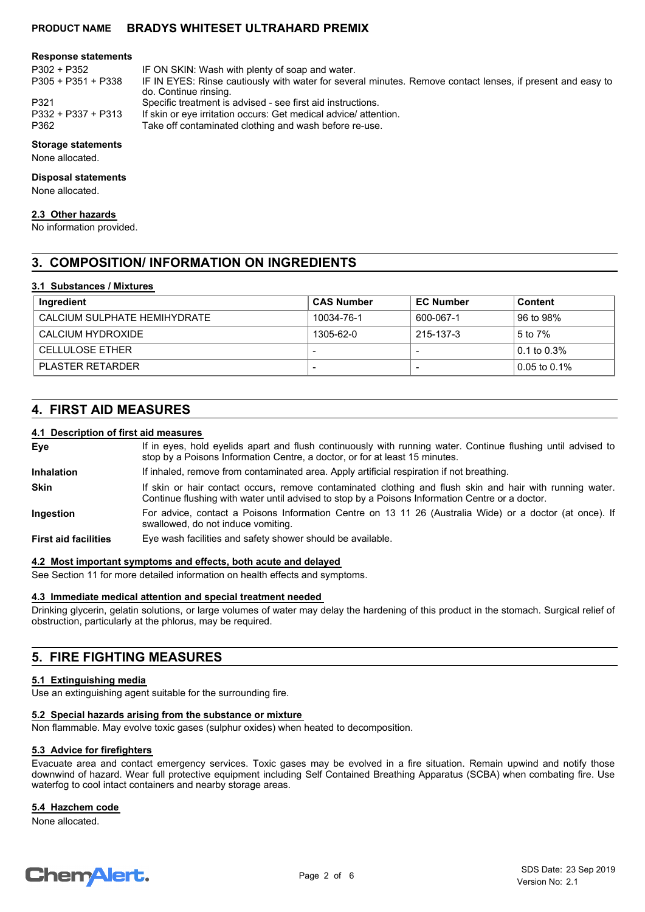## **PRODUCT NAME BRADYS WHITESET ULTRAHARD PREMIX**

#### **Response statements**

P305 + P351 + P338

P302 + P352 IF ON SKIN: Wash with plenty of soap and water.

IF IN EYES: Rinse cautiously with water for several minutes. Remove contact lenses, if present and easy to do. Continue rinsing.

P321 Specific treatment is advised - see first aid instructions.<br>P332 + P337 + P313 If skin or eve irritation occurs: Get medical advice/ atter

P332 + P337 + P313 If skin or eye irritation occurs: Get medical advice/ attention.<br>P362 Take off contaminated clothing and wash before re-use.

Take off contaminated clothing and wash before re-use.

#### **Storage statements**

None allocated.

#### **Disposal statements**

None allocated.

#### **2.3 Other hazards**

No information provided.

# **3. COMPOSITION/ INFORMATION ON INGREDIENTS**

#### **3.1 Substances / Mixtures**

| Ingredient                   | <b>CAS Number</b> | <b>EC Number</b> | Content      |
|------------------------------|-------------------|------------------|--------------|
| CALCIUM SULPHATE HEMIHYDRATE | 10034-76-1        | 600-067-1        | 96 to 98%    |
| CALCIUM HYDROXIDE            | 1305-62-0         | 215-137-3        | 5 to 7%      |
| <b>CELLULOSE ETHER</b>       |                   |                  | 0.1 to 0.3%  |
| PLASTER RETARDER             |                   |                  | 0.05 to 0.1% |

# **4. FIRST AID MEASURES**

## **4.1 Description of first aid measures**

| Eye                         | If in eyes, hold eyelids apart and flush continuously with running water. Continue flushing until advised to<br>stop by a Poisons Information Centre, a doctor, or for at least 15 minutes.                 |
|-----------------------------|-------------------------------------------------------------------------------------------------------------------------------------------------------------------------------------------------------------|
| <b>Inhalation</b>           | If inhaled, remove from contaminated area. Apply artificial respiration if not breathing.                                                                                                                   |
| <b>Skin</b>                 | If skin or hair contact occurs, remove contaminated clothing and flush skin and hair with running water.<br>Continue flushing with water until advised to stop by a Poisons Information Centre or a doctor. |
| Ingestion                   | For advice, contact a Poisons Information Centre on 13 11 26 (Australia Wide) or a doctor (at once). If<br>swallowed, do not induce vomiting.                                                               |
| <b>First aid facilities</b> | Eye wash facilities and safety shower should be available.                                                                                                                                                  |

#### **4.2 Most important symptoms and effects, both acute and delayed**

See Section 11 for more detailed information on health effects and symptoms.

#### **4.3 Immediate medical attention and special treatment needed**

Drinking glycerin, gelatin solutions, or large volumes of water may delay the hardening of this product in the stomach. Surgical relief of obstruction, particularly at the phlorus, may be required.

# **5. FIRE FIGHTING MEASURES**

#### **5.1 Extinguishing media**

Use an extinguishing agent suitable for the surrounding fire.

#### **5.2 Special hazards arising from the substance or mixture**

Non flammable. May evolve toxic gases (sulphur oxides) when heated to decomposition.

#### **5.3 Advice for firefighters**

Evacuate area and contact emergency services. Toxic gases may be evolved in a fire situation. Remain upwind and notify those downwind of hazard. Wear full protective equipment including Self Contained Breathing Apparatus (SCBA) when combating fire. Use waterfog to cool intact containers and nearby storage areas.

## **5.4 Hazchem code**

None allocated.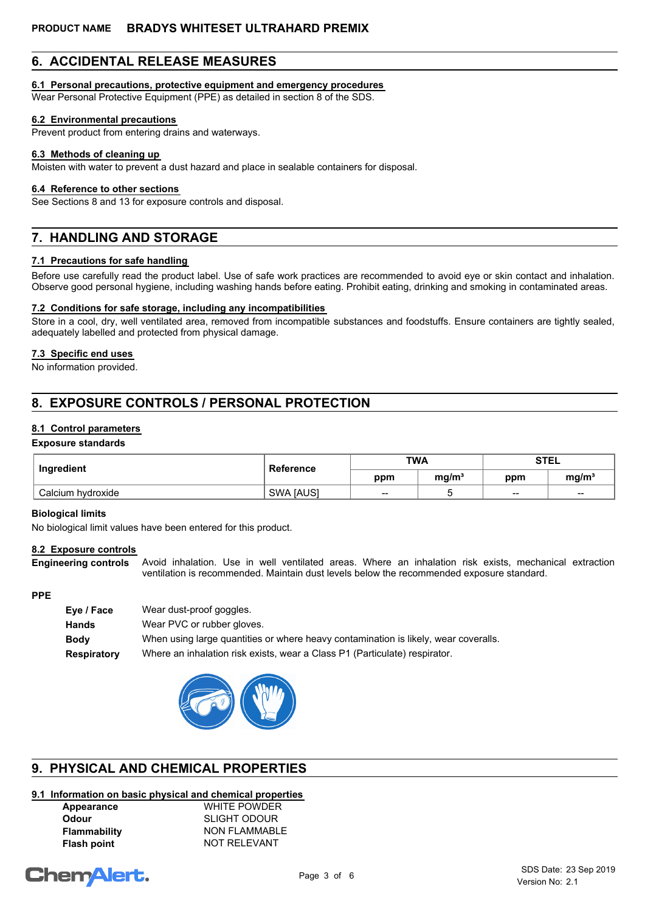# **6. ACCIDENTAL RELEASE MEASURES**

## **6.1 Personal precautions, protective equipment and emergency procedures**

Wear Personal Protective Equipment (PPE) as detailed in section 8 of the SDS.

### **6.2 Environmental precautions**

Prevent product from entering drains and waterways.

#### **6.3 Methods of cleaning up**

Moisten with water to prevent a dust hazard and place in sealable containers for disposal.

### **6.4 Reference to other sections**

See Sections 8 and 13 for exposure controls and disposal.

# **7. HANDLING AND STORAGE**

## **7.1 Precautions for safe handling**

Before use carefully read the product label. Use of safe work practices are recommended to avoid eye or skin contact and inhalation. Observe good personal hygiene, including washing hands before eating. Prohibit eating, drinking and smoking in contaminated areas.

### **7.2 Conditions for safe storage, including any incompatibilities**

Store in a cool, dry, well ventilated area, removed from incompatible substances and foodstuffs. Ensure containers are tightly sealed, adequately labelled and protected from physical damage.

### **7.3 Specific end uses**

No information provided.

# **8. EXPOSURE CONTROLS / PERSONAL PROTECTION**

## **8.1 Control parameters**

#### **Exposure standards**

| Ingredient        | Reference        | <b>TWA</b> |                   | <b>STEL</b> |                   |
|-------------------|------------------|------------|-------------------|-------------|-------------------|
|                   |                  | ppm        | mg/m <sup>3</sup> | ppm         | mg/m <sup>3</sup> |
| Calcium hydroxide | <b>SWA [AUS]</b> | --         |                   | $- -$       | $- -$             |

#### **Biological limits**

No biological limit values have been entered for this product.

#### **8.2 Exposure controls**

Avoid inhalation. Use in well ventilated areas. Where an inhalation risk exists, mechanical extraction ventilation is recommended. Maintain dust levels below the recommended exposure standard. **Engineering controls**

#### **PPE**

| Wear dust-proof goggles.                                                            |
|-------------------------------------------------------------------------------------|
| Wear PVC or rubber gloves.                                                          |
| When using large quantities or where heavy contamination is likely, wear coveralls. |
| Where an inhalation risk exists, wear a Class P1 (Particulate) respirator.          |
|                                                                                     |



# **9. PHYSICAL AND CHEMICAL PROPERTIES**

# **9.1 Information on basic physical and chemical properties**

| Appearance          | <b>WHITE POWDER</b>  |
|---------------------|----------------------|
| <b>Odour</b>        | <b>SLIGHT ODOUR</b>  |
| <b>Flammability</b> | <b>NON FLAMMABLE</b> |
| <b>Flash point</b>  | NOT RELEVANT         |

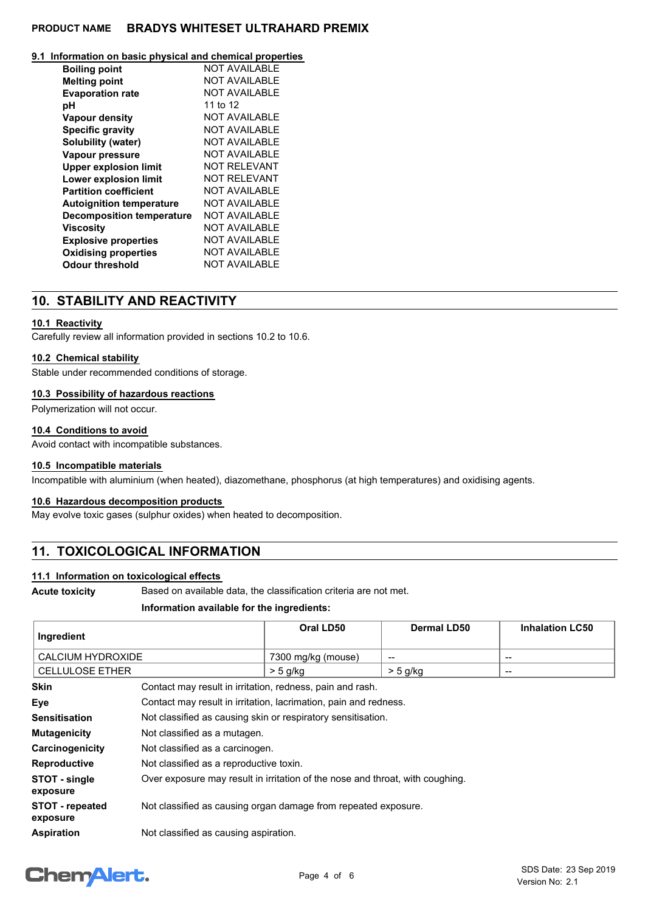## **PRODUCT NAME BRADYS WHITESET ULTRAHARD PREMIX**

#### **9.1 Information on basic physical and chemical properties**

| <b>Boiling point</b>             | NOT AVAII ABI F      |
|----------------------------------|----------------------|
| <b>Melting point</b>             | <b>NOT AVAILABLE</b> |
| <b>Evaporation rate</b>          | <b>NOT AVAILABLE</b> |
| рH                               | 11 to 12             |
| <b>Vapour density</b>            | <b>NOT AVAILABLE</b> |
| <b>Specific gravity</b>          | <b>NOT AVAILABLE</b> |
| Solubility (water)               | <b>NOT AVAILABLE</b> |
| <b>Vapour pressure</b>           | NOT AVAII ABI F      |
| <b>Upper explosion limit</b>     | NOT RFI FVANT        |
| Lower explosion limit            | NOT RFI FVANT        |
| <b>Partition coefficient</b>     | NOT AVAII ABI F      |
| <b>Autoignition temperature</b>  | NOT AVAILABLE        |
| <b>Decomposition temperature</b> | NOT AVAII ABI F      |
| Viscosity                        | <b>NOT AVAILABLE</b> |
| <b>Explosive properties</b>      | NOT AVAII ABI F      |
| <b>Oxidising properties</b>      | <b>NOT AVAILABLE</b> |
| <b>Odour threshold</b>           | NOT AVAILABLE        |

# **10. STABILITY AND REACTIVITY**

## **10.1 Reactivity**

Carefully review all information provided in sections 10.2 to 10.6.

#### **10.2 Chemical stability**

Stable under recommended conditions of storage.

#### **10.3 Possibility of hazardous reactions**

Polymerization will not occur.

#### **10.4 Conditions to avoid**

Avoid contact with incompatible substances.

#### **10.5 Incompatible materials**

Incompatible with aluminium (when heated), diazomethane, phosphorus (at high temperatures) and oxidising agents.

#### **10.6 Hazardous decomposition products**

May evolve toxic gases (sulphur oxides) when heated to decomposition.

# **11. TOXICOLOGICAL INFORMATION**

#### **11.1 Information on toxicological effects**

**Acute toxicity** Based on available data, the classification criteria are not met.

#### **Information available for the ingredients:**

| Ingredient                  |                                                                               | Oral LD50          | <b>Dermal LD50</b> | <b>Inhalation LC50</b> |
|-----------------------------|-------------------------------------------------------------------------------|--------------------|--------------------|------------------------|
| <b>CALCIUM HYDROXIDE</b>    |                                                                               | 7300 mg/kg (mouse) | $\qquad \qquad$    | --                     |
| <b>CELLULOSE ETHER</b>      |                                                                               | $>$ 5 g/kg         | $>$ 5 g/kg         | $\qquad \qquad$        |
| <b>Skin</b>                 | Contact may result in irritation, redness, pain and rash.                     |                    |                    |                        |
| Eye                         | Contact may result in irritation, lacrimation, pain and redness.              |                    |                    |                        |
| <b>Sensitisation</b>        | Not classified as causing skin or respiratory sensitisation.                  |                    |                    |                        |
| <b>Mutagenicity</b>         | Not classified as a mutagen.                                                  |                    |                    |                        |
| Carcinogenicity             | Not classified as a carcinogen.                                               |                    |                    |                        |
| <b>Reproductive</b>         | Not classified as a reproductive toxin.                                       |                    |                    |                        |
| STOT - single<br>exposure   | Over exposure may result in irritation of the nose and throat, with coughing. |                    |                    |                        |
| STOT - repeated<br>exposure | Not classified as causing organ damage from repeated exposure.                |                    |                    |                        |
| <b>Aspiration</b>           | Not classified as causing aspiration.                                         |                    |                    |                        |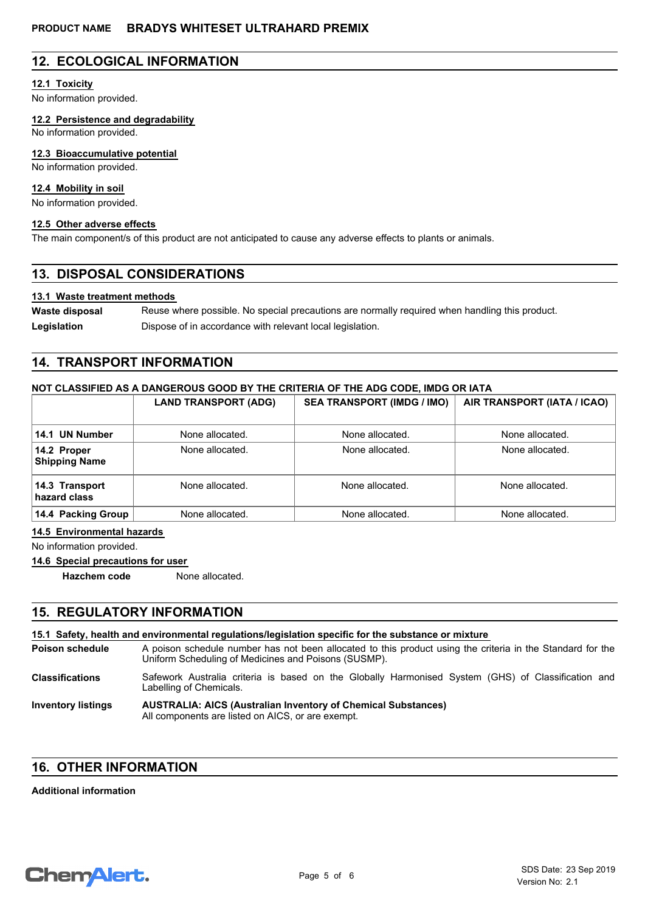# **12. ECOLOGICAL INFORMATION**

### **12.1 Toxicity**

No information provided.

**12.2 Persistence and degradability**

No information provided.

#### **12.3 Bioaccumulative potential**

No information provided.

## **12.4 Mobility in soil**

No information provided.

## **12.5 Other adverse effects**

The main component/s of this product are not anticipated to cause any adverse effects to plants or animals.

# **13. DISPOSAL CONSIDERATIONS**

### **13.1 Waste treatment methods**

Reuse where possible. No special precautions are normally required when handling this product. **Waste disposal** Legislation **Dispose of in accordance with relevant local legislation.** 

# **14. TRANSPORT INFORMATION**

## **NOT CLASSIFIED AS A DANGEROUS GOOD BY THE CRITERIA OF THE ADG CODE, IMDG OR IATA**

|                                     | <b>LAND TRANSPORT (ADG)</b> | <b>SEA TRANSPORT (IMDG / IMO)</b> | AIR TRANSPORT (IATA / ICAO) |
|-------------------------------------|-----------------------------|-----------------------------------|-----------------------------|
| 14.1 UN Number                      | None allocated.             | None allocated.                   | None allocated.             |
| 14.2 Proper<br><b>Shipping Name</b> | None allocated.             | None allocated.                   | None allocated.             |
| 14.3 Transport<br>hazard class      | None allocated.             | None allocated.                   | None allocated.             |
| 14.4 Packing Group                  | None allocated.             | None allocated.                   | None allocated.             |

#### **14.5 Environmental hazards**

No information provided.

## **14.6 Special precautions for user**

**Hazchem code** None allocated.

# **15. REGULATORY INFORMATION**

#### **15.1 Safety, health and environmental regulations/legislation specific for the substance or mixture**

A poison schedule number has not been allocated to this product using the criteria in the Standard for the Uniform Scheduling of Medicines and Poisons (SUSMP). **Poison schedule** Safework Australia criteria is based on the Globally Harmonised System (GHS) of Classification and Labelling of Chemicals. **Classifications**

#### **AUSTRALIA: AICS (Australian Inventory of Chemical Substances)** All components are listed on AICS, or are exempt. **Inventory listings**

# **16. OTHER INFORMATION**

**Additional information**